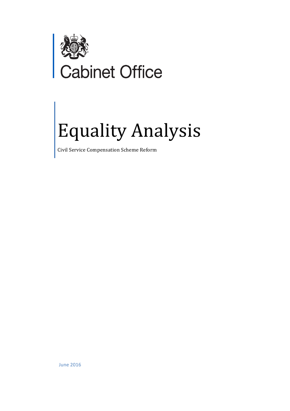

# ,<br>abinet Office

# Equality Analysis

Civil Service Compensation Scheme Reform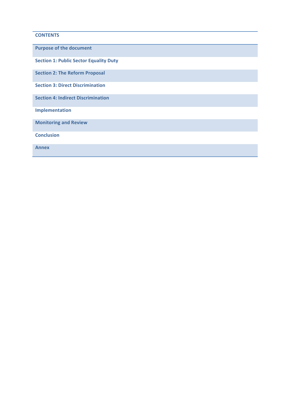## **CONTENTS**

**Purpose of the document Section 1: Public Sector Equality Duty Section 2: The Reform Proposal Section 3: Direct Discrimination Section 4: Indirect Discrimination Implementation Monitoring and Review Conclusion Annex**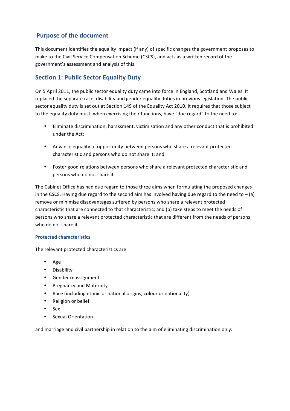## **Purpose of the document**

This document identifies the equality impact (if any) of specific changes the government proposes to make to the Civil Service Compensation Scheme (CSCS), and acts as a written record of the government's assessment and analysis of this.

## **Section 1: Public Sector Equality Duty**

On 5 April 2011, the public sector equality duty came into force in England, Scotland and Wales. It replaced the separate race, disability and gender equality duties in previous legislation. The public sector equality duty is set out at Section 149 of the Equality Act 2010. It requires that those subject to the equality duty must, when exercising their functions, have "due regard" to the need to:

- Eliminate discrimination, harassment, victimisation and any other conduct that is prohibited under the Act;
- Advance equality of opportunity between persons who share a relevant protected characteristic and persons who do not share it; and
- Foster good relations between persons who share a relevant protected characteristic and persons who do not share it.

The Cabinet Office has had due regard to those three aims when formulating the proposed changes in the CSCS. Having due regard to the second aim has involved having due regard to the need to  $-(a)$ remove or minimise disadvantages suffered by persons who share a relevant protected characteristic that are connected to that characteristic; and (b) take steps to meet the needs of persons who share a relevant protected characteristic that are different from the needs of persons who do not share it.

## **Protected characteristics**

The relevant protected characteristics are:

- Age
- Disability
- Gender reassignment
- Pregnancy and Maternity
- Race (including ethnic or national origins, colour or nationality)
- Religion or belief
- Sex
- Sexual Orientation

and marriage and civil partnership in relation to the aim of eliminating discrimination only.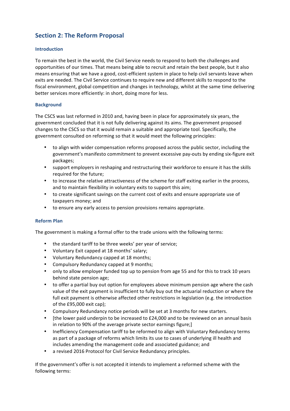# **Section 2: The Reform Proposal**

#### **Introduction**

To remain the best in the world, the Civil Service needs to respond to both the challenges and opportunities of our times. That means being able to recruit and retain the best people, but it also means ensuring that we have a good, cost-efficient system in place to help civil servants leave when exits are needed. The Civil Service continues to require new and different skills to respond to the fiscal environment, global competition and changes in technology, whilst at the same time delivering better services more efficiently: in short, doing more for less.

#### **Background**

The CSCS was last reformed in 2010 and, having been in place for approximately six years, the government concluded that it is not fully delivering against its aims. The government proposed changes to the CSCS so that it would remain a suitable and appropriate tool. Specifically, the government consulted on reforming so that it would meet the following principles:

- to align with wider compensation reforms proposed across the public sector, including the government's manifesto commitment to prevent excessive pay-outs by ending six-figure exit packages;
- support employers in reshaping and restructuring their workforce to ensure it has the skills required for the future;
- to increase the relative attractiveness of the scheme for staff exiting earlier in the process, and to maintain flexibility in voluntary exits to support this aim;
- to create significant savings on the current cost of exits and ensure appropriate use of taxpayers money; and
- to ensure any early access to pension provisions remains appropriate.

#### **Reform Plan**

The government is making a formal offer to the trade unions with the following terms:

- the standard tariff to be three weeks' per year of service;
- Voluntary Exit capped at 18 months' salary;
- Voluntary Redundancy capped at 18 months;
- Compulsory Redundancy capped at 9 months;
- only to allow employer funded top up to pension from age 55 and for this to track 10 years behind state pension age;
- to offer a partial buy out option for employees above minimum pension age where the cash value of the exit payment is insufficient to fully buy out the actuarial reduction or where the full exit payment is otherwise affected other restrictions in legislation (e.g. the introduction of the  $£95,000$  exit cap);
- Compulsory Redundancy notice periods will be set at 3 months for new starters.
- Ithe lower paid underpin to be increased to £24,000 and to be reviewed on an annual basis in relation to 90% of the average private sector earnings figure;]
- Inefficiency Compensation tariff to be reformed to align with Voluntary Redundancy terms as part of a package of reforms which limits its use to cases of underlying ill health and includes amending the management code and associated guidance; and
- a revised 2016 Protocol for Civil Service Redundancy principles.

If the government's offer is not accepted it intends to implement a reformed scheme with the following terms: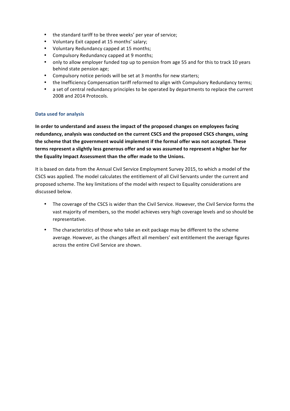- the standard tariff to be three weeks' per year of service;
- Voluntary Exit capped at 15 months' salary;
- Voluntary Redundancy capped at 15 months;
- Compulsory Redundancy capped at 9 months;
- only to allow employer funded top up to pension from age 55 and for this to track 10 years behind state pension age;
- Compulsory notice periods will be set at 3 months for new starters;
- the Inefficiency Compensation tariff reformed to align with Compulsory Redundancy terms;
- a set of central redundancy principles to be operated by departments to replace the current 2008 and 2014 Protocols.

#### **Data used for analysis**

In order to understand and assess the impact of the proposed changes on employees facing redundancy, analysis was conducted on the current CSCS and the proposed CSCS changes, using the scheme that the government would implement if the formal offer was not accepted. These terms represent a slightly less generous offer and so was assumed to represent a higher bar for the Equality Impact Assessment than the offer made to the Unions.

It is based on data from the Annual Civil Service Employment Survey 2015, to which a model of the CSCS was applied. The model calculates the entitlement of all Civil Servants under the current and proposed scheme. The key limitations of the model with respect to Equality considerations are discussed below.

- The coverage of the CSCS is wider than the Civil Service. However, the Civil Service forms the vast majority of members, so the model achieves very high coverage levels and so should be representative.
- The characteristics of those who take an exit package may be different to the scheme average. However, as the changes affect all members' exit entitlement the average figures across the entire Civil Service are shown.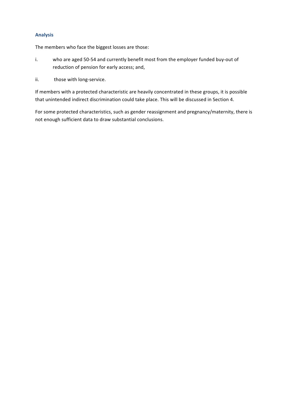## **Analysis**

The members who face the biggest losses are those:

- i. who are aged 50-54 and currently benefit most from the employer funded buy-out of reduction of pension for early access; and,
- ii. those with long-service.

If members with a protected characteristic are heavily concentrated in these groups, it is possible that unintended indirect discrimination could take place. This will be discussed in Section 4.

For some protected characteristics, such as gender reassignment and pregnancy/maternity, there is not enough sufficient data to draw substantial conclusions.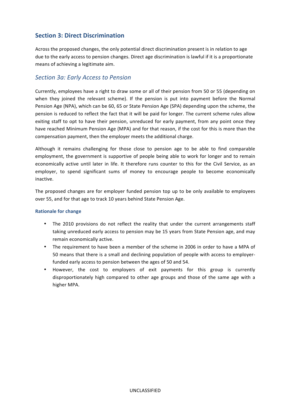## **Section 3: Direct Discrimination**

Across the proposed changes, the only potential direct discrimination present is in relation to age due to the early access to pension changes. Direct age discrimination is lawful if it is a proportionate means of achieving a legitimate aim.

## *Section 3a: Early Access to Pension*

Currently, employees have a right to draw some or all of their pension from 50 or 55 (depending on when they joined the relevant scheme). If the pension is put into payment before the Normal Pension Age (NPA), which can be 60, 65 or State Pension Age (SPA) depending upon the scheme, the pension is reduced to reflect the fact that it will be paid for longer. The current scheme rules allow exiting staff to opt to have their pension, unreduced for early payment, from any point once they have reached Minimum Pension Age (MPA) and for that reason, if the cost for this is more than the compensation payment, then the employer meets the additional charge.

Although it remains challenging for those close to pension age to be able to find comparable employment, the government is supportive of people being able to work for longer and to remain economically active until later in life. It therefore runs counter to this for the Civil Service, as an employer, to spend significant sums of money to encourage people to become economically inactive. 

The proposed changes are for employer funded pension top up to be only available to employees over 55, and for that age to track 10 years behind State Pension Age.

#### **Rationale for change**

- The 2010 provisions do not reflect the reality that under the current arrangements staff taking unreduced early access to pension may be 15 years from State Pension age, and may remain economically active.
- The requirement to have been a member of the scheme in 2006 in order to have a MPA of 50 means that there is a small and declining population of people with access to employerfunded early access to pension between the ages of 50 and 54.
- However, the cost to employers of exit payments for this group is currently disproportionately high compared to other age groups and those of the same age with a higher MPA.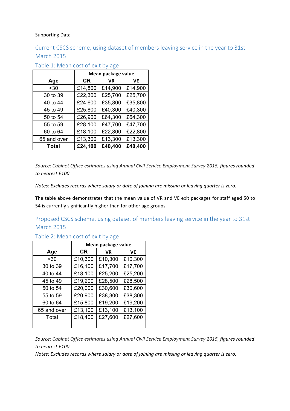### Supporting Data

# Current CSCS scheme, using dataset of members leaving service in the year to 31st March 2015

|              | Mean package value |           |         |
|--------------|--------------------|-----------|---------|
| Age          | CR                 | <b>VR</b> | VE      |
| $30$         | £14,800            | £14,900   | £14,900 |
| 30 to 39     | £22,300            | £25,700   | £25,700 |
| 40 to 44     | £24,600            | £35,800   | £35,800 |
| 45 to 49     | £25,800            | £40,300   | £40,300 |
| 50 to 54     | £26,900            | £64,300   | £64,300 |
| 55 to 59     | £28,100            | £47,700   | £47,700 |
| 60 to 64     | £18,100            | £22,800   | £22,800 |
| 65 and over  | £13,300            | £13,300   | £13,300 |
| <b>Total</b> | £24,100            | £40,400   | £40,400 |

## Table 1: Mean cost of exit by age

Source: Cabinet Office estimates using Annual Civil Service Employment Survey 2015, figures rounded *to nearest £100* 

*Notes: Excludes records where salary or date of joining are missing or leaving quarter is zero.* 

The table above demonstrates that the mean value of VR and VE exit packages for staff aged 50 to 54 is currently significantly higher than for other age groups.

## Proposed CSCS scheme, using dataset of members leaving service in the year to 31st March 2015

|             | Mean package value |         |         |
|-------------|--------------------|---------|---------|
| Age         | СR                 | VR      | VE      |
| $30$        | £10,300            | £10,300 | £10,300 |
| 30 to 39    | £16,100            | £17,700 | £17,700 |
| 40 to 44    | £18,100            | £25,200 | £25,200 |
| 45 to 49    | £19,200            | £28,500 | £28,500 |
| 50 to 54    | £20,000            | £30,600 | £30,600 |
| 55 to 59    | £20,900            | £38,300 | £38,300 |
| 60 to 64    | £15,800            | £19,200 | £19,200 |
| 65 and over | £13,100            | £13,100 | £13,100 |
| Total       | £18,400            | £27,600 | £27,600 |
|             |                    |         |         |

## Table 2: Mean cost of exit by age

Source: Cabinet Office estimates using Annual Civil Service Employment Survey 2015, figures rounded *to nearest £100* 

*Notes: Excludes records where salary or date of joining are missing or leaving quarter is zero.*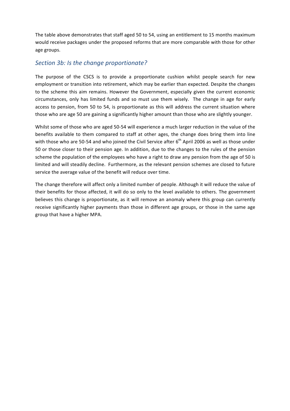The table above demonstrates that staff aged 50 to 54, using an entitlement to 15 months maximum would receive packages under the proposed reforms that are more comparable with those for other age groups.

## *Section 3b: Is the change proportionate?*

The purpose of the CSCS is to provide a proportionate cushion whilst people search for new employment or transition into retirement, which may be earlier than expected. Despite the changes to the scheme this aim remains. However the Government, especially given the current economic circumstances, only has limited funds and so must use them wisely. The change in age for early access to pension, from 50 to 54, is proportionate as this will address the current situation where those who are age 50 are gaining a significantly higher amount than those who are slightly younger.

Whilst some of those who are aged 50-54 will experience a much larger reduction in the value of the benefits available to them compared to staff at other ages, the change does bring them into line with those who are 50-54 and who joined the Civil Service after  $6^{th}$  April 2006 as well as those under 50 or those closer to their pension age. In addition, due to the changes to the rules of the pension scheme the population of the employees who have a right to draw any pension from the age of 50 is limited and will steadily decline. Furthermore, as the relevant pension schemes are closed to future service the average value of the benefit will reduce over time.

The change therefore will affect only a limited number of people. Although it will reduce the value of their benefits for those affected, it will do so only to the level available to others. The government believes this change is proportionate, as it will remove an anomaly where this group can currently receive significantly higher payments than those in different age groups, or those in the same age group that have a higher MPA.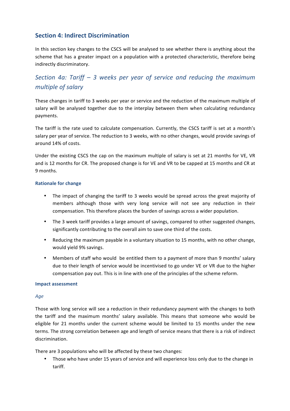## **Section 4: Indirect Discrimination**

In this section key changes to the CSCS will be analysed to see whether there is anything about the scheme that has a greater impact on a population with a protected characteristic, therefore being indirectly discriminatory.

# *Section 4a: Tariff – 3 weeks per year of service and reducing the maximum multiple of salary*

These changes in tariff to 3 weeks per year or service and the reduction of the maximum multiple of salary will be analysed together due to the interplay between them when calculating redundancy payments. 

The tariff is the rate used to calculate compensation. Currently, the CSCS tariff is set at a month's salary per year of service. The reduction to 3 weeks, with no other changes, would provide savings of around 14% of costs. 

Under the existing CSCS the cap on the maximum multiple of salary is set at 21 months for VE, VR and is 12 months for CR. The proposed change is for VE and VR to be capped at 15 months and CR at 9 months. 

#### **Rationale for change**

- The impact of changing the tariff to 3 weeks would be spread across the great majority of members although those with very long service will not see any reduction in their compensation. This therefore places the burden of savings across a wider population.
- The 3 week tariff provides a large amount of savings, compared to other suggested changes, significantly contributing to the overall aim to save one third of the costs.
- Reducing the maximum payable in a voluntary situation to 15 months, with no other change, would yield 9% savings.
- Members of staff who would be entitled them to a payment of more than 9 months' salary due to their length of service would be incentivised to go under VE or VR due to the higher compensation pay out. This is in line with one of the principles of the scheme reform.

#### **Impact assessment**

#### *Age*

Those with long service will see a reduction in their redundancy payment with the changes to both the tariff and the maximum months' salary available. This means that someone who would be eligible for 21 months under the current scheme would be limited to 15 months under the new terms. The strong correlation between age and length of service means that there is a risk of indirect discrimination. 

There are 3 populations who will be affected by these two changes:

• Those who have under 15 years of service and will experience loss only due to the change in tariff.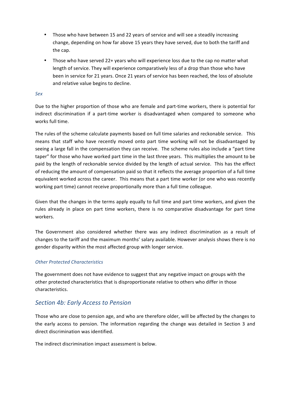- Those who have between 15 and 22 years of service and will see a steadily increasing change, depending on how far above 15 years they have served, due to both the tariff and the cap.
- Those who have served 22+ years who will experience loss due to the cap no matter what length of service. They will experience comparatively less of a drop than those who have been in service for 21 years. Once 21 years of service has been reached, the loss of absolute and relative value begins to decline.

#### *Sex*

Due to the higher proportion of those who are female and part-time workers, there is potential for indirect discrimination if a part-time worker is disadvantaged when compared to someone who works full time.

The rules of the scheme calculate payments based on full time salaries and reckonable service. This means that staff who have recently moved onto part time working will not be disadvantaged by seeing a large fall in the compensation they can receive. The scheme rules also include a "part time taper" for those who have worked part time in the last three years. This multiplies the amount to be paid by the length of reckonable service divided by the length of actual service. This has the effect of reducing the amount of compensation paid so that it reflects the average proportion of a full time equivalent worked across the career. This means that a part time worker (or one who was recently working part time) cannot receive proportionally more than a full time colleague.

Given that the changes in the terms apply equally to full time and part time workers, and given the rules already in place on part time workers, there is no comparative disadvantage for part time workers. 

The Government also considered whether there was any indirect discrimination as a result of changes to the tariff and the maximum months' salary available. However analysis shows there is no gender disparity within the most affected group with longer service.

### *Other Protected Characteristics*

The government does not have evidence to suggest that any negative impact on groups with the other protected characteristics that is disproportionate relative to others who differ in those characteristics. 

## *Section 4b: Early Access to Pension*

Those who are close to pension age, and who are therefore older, will be affected by the changes to the early access to pension. The information regarding the change was detailed in Section 3 and direct discrimination was identified.

The indirect discrimination impact assessment is below.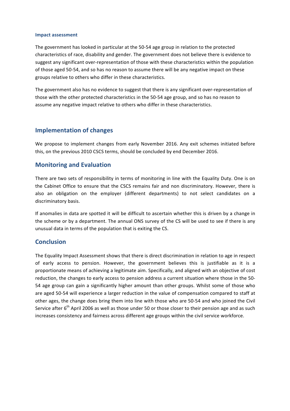#### **Impact assessment**

The government has looked in particular at the 50-54 age group in relation to the protected characteristics of race, disability and gender. The government does not believe there is evidence to suggest any significant over-representation of those with these characteristics within the population of those aged 50-54, and so has no reason to assume there will be any negative impact on these groups relative to others who differ in these characteristics.

The government also has no evidence to suggest that there is any significant over-representation of those with the other protected characteristics in the 50-54 age group, and so has no reason to assume any negative impact relative to others who differ in these characteristics.

### **Implementation of changes**

We propose to implement changes from early November 2016. Any exit schemes initiated before this, on the previous 2010 CSCS terms, should be concluded by end December 2016.

## **Monitoring and Evaluation**

There are two sets of responsibility in terms of monitoring in line with the Equality Duty. One is on the Cabinet Office to ensure that the CSCS remains fair and non discriminatory. However, there is also an obligation on the employer (different departments) to not select candidates on a discriminatory basis.

If anomalies in data are spotted it will be difficult to ascertain whether this is driven by a change in the scheme or by a department. The annual ONS survey of the CS will be used to see if there is any unusual data in terms of the population that is exiting the CS.

### **Conclusion**

The Equality Impact Assessment shows that there is direct discrimination in relation to age in respect of early access to pension. However, the government believes this is justifiable as it is a proportionate means of achieving a legitimate aim. Specifically, and aligned with an objective of cost reduction, the changes to early access to pension address a current situation where those in the 50-54 age group can gain a significantly higher amount than other groups. Whilst some of those who are aged 50-54 will experience a larger reduction in the value of compensation compared to staff at other ages, the change does bring them into line with those who are 50-54 and who joined the Civil Service after 6<sup>th</sup> April 2006 as well as those under 50 or those closer to their pension age and as such increases consistency and fairness across different age groups within the civil service workforce.